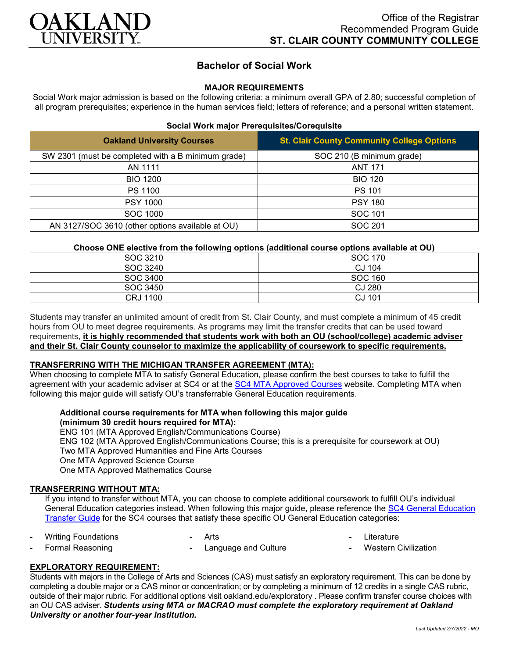

# **Bachelor of Social Work**

## **MAJOR REQUIREMENTS**

Social Work major admission is based on the following criteria: a minimum overall GPA of 2.80; successful completion of all program prerequisites; experience in the human services field; letters of reference; and a personal written statement.

### **Social Work major Prerequisites/Corequisite**

| <b>Oakland University Courses</b>                  | <b>St. Clair County Community College Options</b> |
|----------------------------------------------------|---------------------------------------------------|
| SW 2301 (must be completed with a B minimum grade) | SOC 210 (B minimum grade)                         |
| AN 1111                                            | <b>ANT 171</b>                                    |
| <b>BIO 1200</b>                                    | <b>BIO 120</b>                                    |
| PS 1100                                            | <b>PS 101</b>                                     |
| <b>PSY 1000</b>                                    | <b>PSY 180</b>                                    |
| <b>SOC 1000</b>                                    | <b>SOC 101</b>                                    |
| AN 3127/SOC 3610 (other options available at OU)   | SOC 201                                           |

#### **Choose ONE elective from the following options (additional course options available at OU)**

| SOC 3210        | SOC 170 |
|-----------------|---------|
|                 |         |
| SOC 3240        | CJ 104  |
| SOC 3400        | SOC 160 |
| SOC 3450        | CJ 280  |
| <b>CRJ 1100</b> | CJ 101  |

Students may transfer an unlimited amount of credit from St. Clair County, and must complete a minimum of 45 credit hours from OU to meet degree requirements. As programs may limit the transfer credits that can be used toward requirements, **it is highly recommended that students work with both an OU (school/college) academic adviser and their St. Clair County counselor to maximize the applicability of coursework to specific requirements.**

#### **TRANSFERRING WITH THE MICHIGAN TRANSFER AGREEMENT (MTA):**

When choosing to complete MTA to satisfy General Education, please confirm the best courses to take to fulfill the agreement with your academic adviser at SC4 or at the [SC4 MTA Approved Courses](https://sc4.edu/admissions/transferring-after-sc4/michigan-transfer-agreement/) website. Completing MTA when following this major guide will satisfy OU's transferrable General Education requirements.

#### **Additional course requirements for MTA when following this major guide (minimum 30 credit hours required for MTA):**

ENG 101 (MTA Approved English/Communications Course) ENG 102 (MTA Approved English/Communications Course; this is a prerequisite for coursework at OU) Two MTA Approved Humanities and Fine Arts Courses One MTA Approved Science Course One MTA Approved Mathematics Course

#### **TRANSFERRING WITHOUT MTA:**

If you intend to transfer without MTA, you can choose to complete additional coursework to fulfill OU's individual General Education categories instead. When following this major guide, please reference the [SC4 General Education](https://wwwp.oakland.edu/Assets/Oakland/program-guides/st-clair-county-community-college/university-general-education-requirements/SC4%20Gen%20Ed.pdf)  [Transfer Guide](https://wwwp.oakland.edu/Assets/Oakland/program-guides/st-clair-county-community-college/university-general-education-requirements/SC4%20Gen%20Ed.pdf) for the SC4 courses that satisfy these specific OU General Education categories:

|  | <b>Writing Foundations</b> |
|--|----------------------------|
|--|----------------------------|

**Arts** 

- **Literature**
- Formal Reasoning Language and Culture
- **Western Civilization**

## **EXPLORATORY REQUIREMENT:**

Students with majors in the College of Arts and Sciences (CAS) must satisfy an exploratory requirement. This can be done by completing a double major or a CAS minor or concentration; or by completing a minimum of 12 credits in a single CAS rubric, outside of their major rubric. For additional options visit [oakland.edu/exploratory](http://www.oakland.edu/exploratory) . Please confirm transfer course choices with an OU CAS adviser. *Students using MTA or MACRAO must complete the exploratory requirement at Oakland University or another four-year institution.*